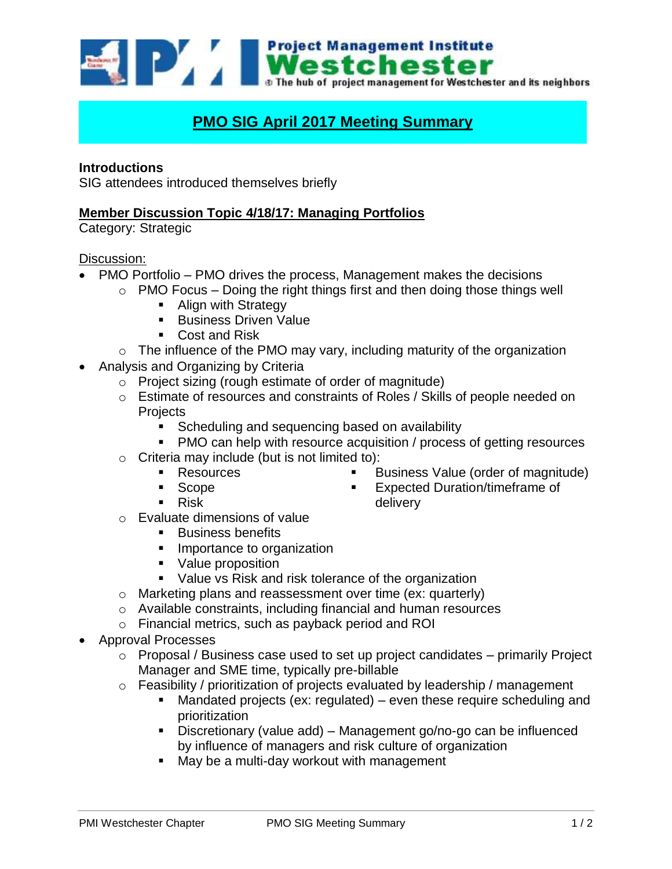Westchester and its neighbors of the bub of project management for Westchester and its neighbors

# **PMO SIG April 2017 Meeting Summary**

## **Introductions**

SIG attendees introduced themselves briefly

## **Member Discussion Topic 4/18/17: Managing Portfolios**

Category: Strategic

#### Discussion:

- PMO Portfolio PMO drives the process, Management makes the decisions
	- $\circ$  PMO Focus Doing the right things first and then doing those things well
		- **Align with Strategy**
		- **Business Driven Value**
		- Cost and Risk
	- $\circ$  The influence of the PMO may vary, including maturity of the organization
- Analysis and Organizing by Criteria
	- o Project sizing (rough estimate of order of magnitude)
	- o Estimate of resources and constraints of Roles / Skills of people needed on **Projects** 
		- **Scheduling and sequencing based on availability**
		- PMO can help with resource acquisition / process of getting resources
	- $\circ$  Criteria may include (but is not limited to):
		- **Resources**
		- **Scope**
		- Risk
- Business Value (order of magnitude)
- Expected Duration/timeframe of delivery
- o Evaluate dimensions of value
	- **Business benefits**
	- **Importance to organization**
	- Value proposition
	- **Value vs Risk and risk tolerance of the organization**
- o Marketing plans and reassessment over time (ex: quarterly)
- o Available constraints, including financial and human resources
- o Financial metrics, such as payback period and ROI
- Approval Processes
	- $\circ$  Proposal / Business case used to set up project candidates primarily Project Manager and SME time, typically pre-billable
	- o Feasibility / prioritization of projects evaluated by leadership / management
		- Mandated projects (ex: regulated) even these require scheduling and prioritization
		- Discretionary (value add) Management go/no-go can be influenced by influence of managers and risk culture of organization
		- May be a multi-day workout with management